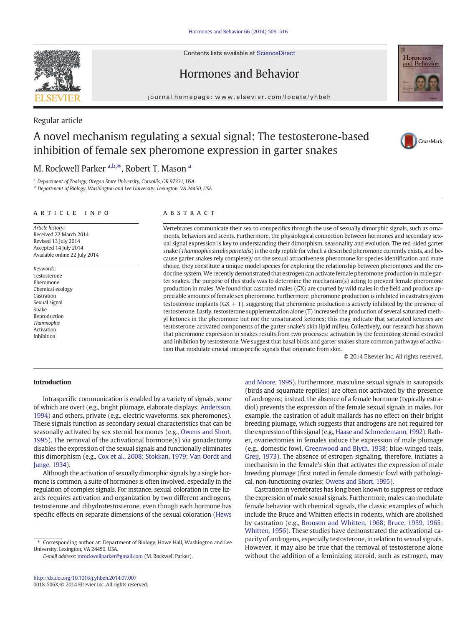Contents lists available at ScienceDirect



journal homepage: www.elsevier.com/locate/yhbeh



CrossMark

## Regular article

# A novel mechanism regulating a sexual signal: The testosterone-based inhibition of female sex pheromone expression in garter snakes

# M. Rockwell Parker <sup>a,b,\*</sup>, Robert T. Mason <sup>a</sup>

<sup>a</sup> Department of Zoology, Oregon State University, Corvallis, OR 97331, USA

b Department of Biology, Washington and Lee University, Lexington, VA 24450, USA

#### article info abstract

Article history: Received 22 March 2014 Revised 13 July 2014 Accepted 14 July 2014 Available online 22 July 2014

Keywords: Testosterone Pheromone Chemical ecology Castration Sexual signal Snake Reproduction Thamnophis Activation Inhibition

Vertebrates communicate their sex to conspecifics through the use of sexually dimorphic signals, such as ornaments, behaviors and scents. Furthermore, the physiological connection between hormones and secondary sexual signal expression is key to understanding their dimorphism, seasonality and evolution. The red-sided garter snake (Thamnophis sirtalis parietalis) is the only reptile for which a described pheromone currently exists, and because garter snakes rely completely on the sexual attractiveness pheromone for species identification and mate choice, they constitute a unique model species for exploring the relationship between pheromones and the endocrine system. We recently demonstrated that estrogen can activate female pheromone production in male garter snakes. The purpose of this study was to determine the mechanism(s) acting to prevent female pheromone production in males. We found that castrated males (GX) are courted by wild males in the field and produce appreciable amounts of female sex pheromone. Furthermore, pheromone production is inhibited in castrates given testosterone implants  $(GX + T)$ , suggesting that pheromone production is actively inhibited by the presence of testosterone. Lastly, testosterone supplementation alone (T) increased the production of several saturated methyl ketones in the pheromone but not the unsaturated ketones; this may indicate that saturated ketones are testosterone-activated components of the garter snake's skin lipid milieu. Collectively, our research has shown that pheromone expression in snakes results from two processes: activation by the feminizing steroid estradiol and inhibition by testosterone. We suggest that basal birds and garter snakes share common pathways of activation that modulate crucial intraspecific signals that originate from skin.

© 2014 Elsevier Inc. All rights reserved.

## Introduction

Intraspecific communication is enabled by a variety of signals, some of which are overt (e.g., bright plumage, elaborate displays; [Andersson,](#page-6-0) [1994\)](#page-6-0) and others, private (e.g., electric waveforms, sex pheromones). These signals function as secondary sexual characteristics that can be seasonally activated by sex steroid hormones (e.g., [Owens and Short,](#page-7-0) [1995\)](#page-7-0). The removal of the activational hormone(s) via gonadectomy disables the expression of the sexual signals and functionally eliminates this dimorphism (e.g., [Cox et al., 2008; Stokkan, 1979; Van Oordt and](#page-6-0) [Junge, 1934](#page-6-0)).

Although the activation of sexually dimorphic signals by a single hormone is common, a suite of hormones is often involved, especially in the regulation of complex signals. For instance, sexual coloration in tree lizards requires activation and organization by two different androgens, testosterone and dihydrotestosterone, even though each hormone has specific effects on separate dimensions of the sexual coloration [\(Hews](#page-7-0)

E-mail address: [mrockwellparker@gmail.com](mailto:mrockwellparker@gmail.com) (M. Rockwell Parker).

[and Moore, 1995\)](#page-7-0). Furthermore, masculine sexual signals in sauropsids (birds and squamate reptiles) are often not activated by the presence of androgens; instead, the absence of a female hormone (typically estradiol) prevents the expression of the female sexual signals in males. For example, the castration of adult mallards has no effect on their bright breeding plumage, which suggests that androgens are not required for the expression of this signal (e.g., [Haase and Schmedemann, 1992\)](#page-7-0). Rather, ovariectomies in females induce the expression of male plumage (e.g., domestic fowl, [Greenwood and Blyth, 1938;](#page-7-0) blue-winged teals, [Greij, 1973\)](#page-7-0). The absence of estrogen signaling, therefore, initiates a mechanism in the female's skin that activates the expression of male breeding plumage (first noted in female domestic fowl with pathological, non-functioning ovaries; [Owens and Short, 1995](#page-7-0)).

Castration in vertebrates has long been known to suppress or reduce the expression of male sexual signals. Furthermore, males can modulate female behavior with chemical signals, the classic examples of which include the Bruce and Whitten effects in rodents, which are abolished by castration (e.g., [Bronson and Whitten, 1968; Bruce, 1959, 1965;](#page-6-0) [Whitten, 1956](#page-6-0)). These studies have demonstrated the activational capacity of androgens, especially testosterone, in relation to sexual signals. However, it may also be true that the removal of testosterone alone without the addition of a feminizing steroid, such as estrogen, may

<sup>⁎</sup> Corresponding author at: Department of Biology, Howe Hall, Washington and Lee University, Lexington, VA 24450, USA.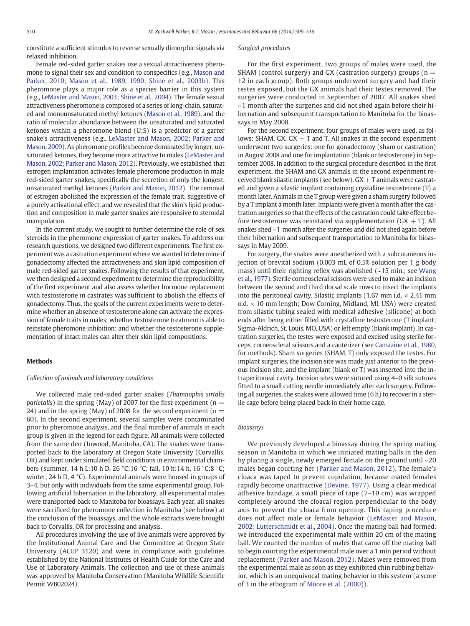constitute a sufficient stimulus to reverse sexually dimorphic signals via relaxed inhibition.

Female red-sided garter snakes use a sexual attractiveness pheromone to signal their sex and condition to conspecifics (e.g., [Mason and](#page-7-0) [Parker, 2010; Mason et al., 1989, 1990; Shine et al., 2003b\)](#page-7-0). This pheromone plays a major role as a species barrier in this system (e.g., [LeMaster and Mason, 2003; Shine et al., 2004\)](#page-7-0). The female sexual attractiveness pheromone is composed of a series of long-chain, saturated and monounsaturated methyl ketones [\(Mason et al., 1989](#page-7-0)), and the ratio of molecular abundance between the unsaturated and saturated ketones within a pheromone blend (U:S) is a predictor of a garter snake's attractiveness (e.g., [LeMaster and Mason, 2002; Parker and](#page-7-0) [Mason, 2009\)](#page-7-0). As pheromone profiles become dominated by longer, unsaturated ketones, they become more attractive to males [\(LeMaster and](#page-7-0) [Mason, 2002; Parker and Mason, 2012\)](#page-7-0). Previously, we established that estrogen implantation activates female pheromone production in male red-sided garter snakes, specifically the secretion of only the longest, unsaturated methyl ketones ([Parker and Mason, 2012](#page-7-0)). The removal of estrogen abolished the expression of the female trait, suggestive of a purely activational effect, and we revealed that the skin's lipid production and composition in male garter snakes are responsive to steroidal manipulation.

In the current study, we sought to further determine the role of sex steroids in the pheromone expression of garter snakes. To address our research questions, we designed two different experiments. The first experiment was a castration experiment where we wanted to determine if gonadectomy affected the attractiveness and skin lipid composition of male red-sided garter snakes. Following the results of that experiment, we then designed a second experiment to determine the reproducibility of the first experiment and also assess whether hormone replacement with testosterone in castrates was sufficient to abolish the effects of gonadectomy. Thus, the goals of the current experiments were to determine whether an absence of testosterone alone can activate the expression of female traits in males; whether testosterone treatment is able to reinstate pheromone inhibition; and whether the testosterone supplementation of intact males can alter their skin lipid compositions.

#### **Methods**

#### Collection of animals and laboratory conditions

We collected male red-sided garter snakes (Thamnophis sirtalis parietalis) in the spring (May) of 2007 for the first experiment ( $n =$ 24) and in the spring (May) of 2008 for the second experiment ( $n =$ 60). In the second experiment, several samples were contaminated prior to pheromone analysis, and the final number of animals in each group is given in the legend for each figure. All animals were collected from the same den (Inwood, Manitoba, CA). The snakes were transported back to the laboratory at Oregon State University (Corvallis, OR) and kept under simulated field conditions in environmental chambers (summer, 14 h L:10 h D, 26 °C:16 °C; fall, 10 h:14 h, 16 °C:8 °C; winter, 24 h D, 4 °C). Experimental animals were housed in groups of 3–4, but only with individuals from the same experimental group. Following artificial hibernation in the laboratory, all experimental males were transported back to Manitoba for bioassays. Each year, all snakes were sacrificed for pheromone collection in Manitoba (see below) at the conclusion of the bioassays, and the whole extracts were brought back to Corvallis, OR for processing and analysis.

All procedures involving the use of live animals were approved by the Institutional Animal Care and Use Committee at Oregon State University (ACUP 3120) and were in compliance with guidelines established by the National Institutes of Health Guide for the Care and Use of Laboratory Animals. The collection and use of these animals was approved by Manitoba Conservation (Manitoba Wildlife Scientific Permit WB02024).

#### Surgical procedures

For the first experiment, two groups of males were used, the SHAM (control surgery) and GX (castration surgery) groups ( $n =$ 12 in each group). Both groups underwent surgery and had their testes exposed, but the GX animals had their testes removed. The surgeries were conducted in September of 2007. All snakes shed ~ 1 month after the surgeries and did not shed again before their hibernation and subsequent transportation to Manitoba for the bioassays in May 2008.

For the second experiment, four groups of males were used, as follows: SHAM, GX,  $GX + T$  and T. All snakes in the second experiment underwent two surgeries: one for gonadectomy (sham or castration) in August 2008 and one for implantation (blank or testosterone) in September 2008. In addition to the surgical procedure described in the first experiment, the SHAM and GX animals in the second experiment received blank silastic implants (see below).  $GX + T$  animals were castrated and given a silastic implant containing crystalline testosterone (T) a month later. Animals in the T group were given a sham surgery followed by a T implant a month later. Implants were given a month after the castration surgeries so that the effects of the castration could take effect before testosterone was reinstated via supplementation  $(GX + T)$ . All snakes shed ~1 month after the surgeries and did not shed again before their hibernation and subsequent transportation to Manitoba for bioassays in May 2009.

For surgery, the snakes were anesthetized with a subcutaneous injection of brevital sodium (0.003 mL of 0.5% solution per 1 g body mass) until their righting reflex was abolished (~15 min.; see [Wang](#page-7-0) [et al., 1977](#page-7-0)). Sterile corneoscleral scissors were used to make an incision between the second and third dorsal scale rows to insert the implants into the peritoneal cavity. Silastic implants  $(1.67 \text{ mm} \text{ i.d.} \times 2.41 \text{ mm}$ o.d.  $\times$  10 mm length; Dow Corning, Midland, MI, USA) were created from silastic tubing sealed with medical adhesive (silicone) at both ends after being either filled with crystalline testosterone (T implant; Sigma-Aldrich, St. Louis, MO, USA) or left empty (blank implant). In castration surgeries, the testes were exposed and excised using sterile forceps, corneoscleral scissors and a cauterizer (see [Camazine et al., 1980,](#page-6-0) for methods). Sham surgeries (SHAM, T) only exposed the testes. For implant surgeries, the incision site was made just anterior to the previous incision site, and the implant (blank or T) was inserted into the intraperitoneal cavity. Incision sites were sutured using 4–0 silk sutures fitted to a small cutting needle immediately after each surgery. Following all surgeries, the snakes were allowed time (6 h) to recover in a sterile cage before being placed back in their home cage.

#### Bioassays

We previously developed a bioassay during the spring mating season in Manitoba in which we initiated mating balls in the den by placing a single, newly emerged female on the ground until ~20 males began courting her ([Parker and Mason, 2012](#page-7-0)). The female's cloaca was taped to prevent copulation, because mated females rapidly become unattractive ([Devine, 1977](#page-6-0)). Using a clear medical adhesive bandage, a small piece of tape (7–10 cm) was wrapped completely around the cloacal region perpendicular to the body axis to prevent the cloaca from opening. This taping procedure does not affect male or female behavior ([LeMaster and Mason,](#page-7-0) [2002; Lutterschmidt et al., 2004\)](#page-7-0). Once the mating ball had formed, we introduced the experimental male within 20 cm of the mating ball. We counted the number of males that came off the mating ball to begin courting the experimental male over a 1 min period without replacement ([Parker and Mason, 2012\)](#page-7-0). Males were removed from the experimental male as soon as they exhibited chin rubbing behavior, which is an unequivocal mating behavior in this system (a score of 3 in the ethogram of [Moore et al. \(2000\)](#page-7-0)).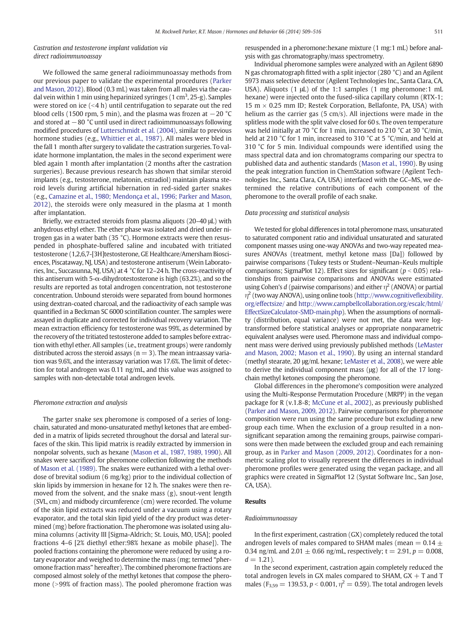### Castration and testosterone implant validation via direct radioimmunoassay

We followed the same general radioimmunoassay methods from our previous paper to validate the experimental procedures ([Parker](#page-7-0) [and Mason, 2012\)](#page-7-0). Blood (0.3 mL) was taken from all males via the caudal vein within 1 min using heparinized syringes (1 cm<sup>3</sup>, 25-g). Samples were stored on ice  $(<$  4 h) until centrifugation to separate out the red blood cells (1500 rpm, 5 min), and the plasma was frozen at  $-20$  °C and stored at −80 °C until used in direct radioimmunoassays following modified procedures of [Lutterschmidt et al. \(2004\)](#page-7-0), similar to previous hormone studies (e.g., [Whittier et al., 1987](#page-7-0)). All males were bled in the fall 1 month after surgery to validate the castration surgeries. To validate hormone implantation, the males in the second experiment were bled again 1 month after implantation (2 months after the castration surgeries). Because previous research has shown that similar steroid implants (e.g., testosterone, melatonin, estradiol) maintain plasma steroid levels during artificial hibernation in red-sided garter snakes (e.g., [Camazine et al., 1980; Mendonça et al., 1996; Parker and Mason,](#page-6-0) [2012\)](#page-6-0), the steroids were only measured in the plasma at 1 month after implantation.

Briefly, we extracted steroids from plasma aliquots (20–40 μL) with anhydrous ethyl ether. The ether phase was isolated and dried under nitrogen gas in a water bath (35 °C). Hormone extracts were then resuspended in phosphate-buffered saline and incubated with tritiated testosterone (1,2,6,7-[3H]testosterone, GE Healthcare/Amersham Biosciences, Piscataway, NJ, USA) and testosterone antiserum (Wein Laboratories, Inc., Succasunna, NJ, USA) at 4 °C for 12–24 h. The cross-reactivity of this antiserum with 5-α-dihydrotestosterone is high (63.2%), and so the results are reported as total androgen concentration, not testosterone concentration. Unbound steroids were separated from bound hormones using dextran-coated charcoal, and the radioactivity of each sample was quantified in a Beckman SC 6000 scintillation counter. The samples were assayed in duplicate and corrected for individual recovery variation. The mean extraction efficiency for testosterone was 99%, as determined by the recovery of the tritiated testosterone added to samples before extraction with ethyl ether. All samples (i.e., treatment groups) were randomly distributed across the steroid assays ( $n = 3$ ). The mean intraassay variation was 9.6%, and the interassay variation was 17.6%. The limit of detection for total androgen was 0.11 ng/mL, and this value was assigned to samples with non-detectable total androgen levels.

#### Pheromone extraction and analysis

The garter snake sex pheromone is composed of a series of longchain, saturated and mono-unsaturated methyl ketones that are embedded in a matrix of lipids secreted throughout the dorsal and lateral surfaces of the skin. This lipid matrix is readily extracted by immersion in nonpolar solvents, such as hexane [\(Mason et al., 1987, 1989, 1990\)](#page-7-0). All snakes were sacrificed for pheromone collection following the methods of [Mason et al. \(1989\)](#page-7-0). The snakes were euthanized with a lethal overdose of brevital sodium (6 mg/kg) prior to the individual collection of skin lipids by immersion in hexane for 12 h. The snakes were then removed from the solvent, and the snake mass (g), snout-vent length (SVL, cm) and midbody circumference (cm) were recorded. The volume of the skin lipid extracts was reduced under a vacuum using a rotary evaporator, and the total skin lipid yield of the dry product was determined (mg) before fractionation. The pheromone was isolated using alumina columns (activity III [Sigma-Aldrich; St. Louis, MO, USA]; pooled fractions 4–6 [2% diethyl ether:98% hexane as mobile phase]). The pooled fractions containing the pheromone were reduced by using a rotary evaporator and weighed to determine the mass (mg; termed "pheromone fraction mass" hereafter). The combined pheromone fractions are composed almost solely of the methyl ketones that compose the pheromone ( $>99\%$  of fraction mass). The pooled pheromone fraction was resuspended in a pheromone:hexane mixture (1 mg:1 mL) before analysis with gas chromatography/mass spectrometry.

Individual pheromone samples were analyzed with an Agilent 6890 N gas chromatograph fitted with a split injector (280 °C) and an Agilent 5973 mass selective detector (Agilent Technologies Inc., Santa Clara, CA, USA). Aliquots (1 μL) of the 1:1 samples (1 mg pheromone:1 mL hexane) were injected onto the fused-silica capillary column (RTX-1; 15 m  $\times$  0.25 mm ID; Restek Corporation, Bellafonte, PA, USA) with helium as the carrier gas (5 cm/s). All injections were made in the splitless mode with the split valve closed for 60 s. The oven temperature was held initially at 70 °C for 1 min, increased to 210 °C at 30 °C/min, held at 210 °C for 1 min, increased to 310 °C at 5 °C/min, and held at 310 °C for 5 min. Individual compounds were identified using the mass spectral data and ion chromatograms comparing our spectra to published data and authentic standards [\(Mason et al., 1990\)](#page-7-0). By using the peak integration function in ChemStation software (Agilent Technologies Inc., Santa Clara, CA, USA) interfaced with the GC–MS, we determined the relative contributions of each component of the pheromone to the overall profile of each snake.

#### Data processing and statistical analysis

We tested for global differences in total pheromone mass, unsaturated to saturated component ratio and individual unsaturated and saturated component masses using one-way ANOVAs and two-way repeated measures ANOVAs (treatment, methyl ketone mass [Da]) followed by pairwise comparisons (Tukey tests or Student–Neuman–Keuls multiple comparisons; SigmaPlot 12). Effect sizes for significant ( $p < 0.05$ ) relationships from pairwise comparisons and ANOVAs were estimated using Cohen's d (pairwise comparisons) and either  $\eta^2$  (ANOVA) or partial  $\eta^2$  (two way ANOVA), using online tools [\(http://www.cognitive](http://www.cognitiveflexibility.org/effectsize/)flexibility. [org/effectsize/](http://www.cognitiveflexibility.org/effectsize/) and [http://www.campbellcollaboration.org/escalc/html/](http://www.campbellcollaboration.org/escalc/html/EffectSizeCalculator-SMD-main.php) [EffectSizeCalculator-SMD-main.php](http://www.campbellcollaboration.org/escalc/html/EffectSizeCalculator-SMD-main.php)). When the assumptions of normality (distribution, equal variance) were not met, the data were logtransformed before statistical analyses or appropriate nonparametric equivalent analyses were used. Pheromone mass and individual component mass were derived using previously published methods [\(LeMaster](#page-7-0) [and Mason, 2002; Mason et al., 1990\)](#page-7-0). By using an internal standard (methyl stearate, 20 μg/mL hexane; [LeMaster et al., 2008\)](#page-7-0), we were able to derive the individual component mass (μg) for all of the 17 longchain methyl ketones composing the pheromone.

Global differences in the pheromone's composition were analyzed using the Multi-Response Permutation Procedure (MRPP) in the vegan package for R (v.1.8-8; [McCune et al., 2002\)](#page-7-0), as previously published [\(Parker and Mason, 2009, 2012\)](#page-7-0). Pairwise comparisons for pheromone composition were run using the same procedure but excluding a new group each time. When the exclusion of a group resulted in a nonsignificant separation among the remaining groups, pairwise comparisons were then made between the excluded group and each remaining group, as in [Parker and Mason \(2009, 2012\).](#page-7-0) Coordinates for a nonmetric scaling plot to visually represent the differences in individual pheromone profiles were generated using the vegan package, and all graphics were created in SigmaPlot 12 (Systat Software Inc., San Jose, CA, USA).

#### Results

#### Radioimmunoassay

In the first experiment, castration (GX) completely reduced the total androgen levels of males compared to SHAM males (mean  $= 0.14 \pm 1$ 0.34 ng/mL and  $2.01 \pm 0.66$  ng/mL, respectively; t = 2.91, p = 0.008,  $d = 1.21$ .

In the second experiment, castration again completely reduced the total androgen levels in GX males compared to SHAM,  $GX + T$  and T males (F<sub>3,59</sub> = 139,53, *p* < 0.001,  $\eta^2$  = 0.59). The total androgen levels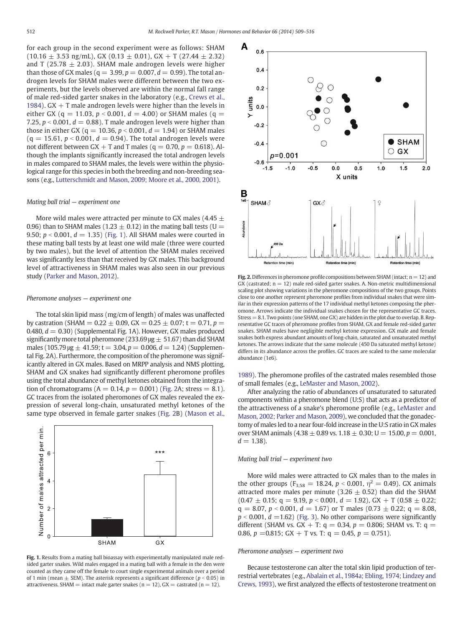for each group in the second experiment were as follows: SHAM  $(10.16 \pm 3.53 \text{ ng/mL})$ , GX  $(0.13 \pm 0.01)$ , GX + T  $(27.44 \pm 2.32)$ and T (25.78  $\pm$  2.03). SHAM male androgen levels were higher than those of GX males ( $q = 3.99$ ,  $p = 0.007$ ,  $d = 0.99$ ). The total androgen levels for SHAM males were different between the two experiments, but the levels observed are within the normal fall range of male red-sided garter snakes in the laboratory (e.g., [Crews et al.,](#page-6-0) [1984](#page-6-0)). GX  $+$  T male androgen levels were higher than the levels in either GX (q = 11.03, p < 0.001, d = 4.00) or SHAM males (q = 7.25,  $p < 0.001$ ,  $d = 0.88$ ). T male androgen levels were higher than those in either GX (q = 10.36,  $p < 0.001$ ,  $d = 1.94$ ) or SHAM males  $(q = 15.61, p < 0.001, d = 0.94)$ . The total androgen levels were not different between  $GX + T$  and T males (q = 0.70, p = 0.618). Although the implants significantly increased the total androgen levels in males compared to SHAM males, the levels were within the physiological range for this species in both the breeding and non-breeding seasons (e.g., [Lutterschmidt and Mason, 2009; Moore et al., 2000, 2001](#page-7-0)).

#### Mating ball trial — experiment one

More wild males were attracted per minute to GX males (4.45  $\pm$ 0.96) than to SHAM males (1.23  $\pm$  0.12) in the mating ball tests (U = 9.50;  $p < 0.001$ ,  $d = 1.35$ ) (Fig. 1). All SHAM males were courted in these mating ball tests by at least one wild male (three were courted by two males), but the level of attention the SHAM males received was significantly less than that received by GX males. This background level of attractiveness in SHAM males was also seen in our previous study [\(Parker and Mason, 2012](#page-7-0)).

#### Pheromone analyses — experiment one

The total skin lipid mass (mg/cm of length) of males was unaffected by castration (SHAM =  $0.22 \pm 0.09$ , GX =  $0.25 \pm 0.07$ ; t = 0.71, p = 0.480,  $d = 0.30$ ) (Supplemental Fig. 1A). However, GX males produced significantly more total pheromone (233.69 μg  $\pm$  51.67) than did SHAM males (105.79  $\mu$ g  $\pm$  41.59; t = 3.04, p = 0.006, d = 1.24) (Supplemental Fig. 2A). Furthermore, the composition of the pheromone was significantly altered in GX males. Based on MRPP analysis and NMS plotting, SHAM and GX snakes had significantly different pheromone profiles using the total abundance of methyl ketones obtained from the integration of chromatograms ( $A = 0.14$ ,  $p = 0.001$ ) (Fig. 2A; stress = 8.1). GC traces from the isolated pheromones of GX males revealed the expression of several long-chain, unsaturated methyl ketones of the same type observed in female garter snakes (Fig. 2B) ([Mason et al.,](#page-7-0)



Fig. 1. Results from a mating ball bioassay with experimentally manipulated male redsided garter snakes. Wild males engaged in a mating ball with a female in the den were counted as they came off the female to court single experimental animals over a period of 1 min (mean  $\pm$  SEM). The asterisk represents a significant difference ( $p < 0.05$ ) in attractiveness. SHAM = intact male garter snakes ( $n = 12$ ),  $GX =$  castrated ( $n = 12$ ).



Fig. 2. Differences in pheromone profile compositions between SHAM (intact;  $n = 12$ ) and  $GX$  (castrated;  $n = 12$ ) male red-sided garter snakes. A. Non-metric multidimensional scaling plot showing variations in the pheromone compositions of the two groups. Points close to one another represent pheromone profiles from individual snakes that were similar in their expression patterns of the 17 individual methyl ketones composing the pheromone. Arrows indicate the individual snakes chosen for the representative GC traces. Stress = 8.1. Two points (one SHAM, one GX) are hidden in the plot due to overlap. B. Representative GC traces of pheromone profiles from SHAM, GX and female red-sided garter snakes. SHAM males have negligible methyl ketone expression. GX male and female snakes both express abundant amounts of long-chain, saturated and unsaturated methyl ketones. The arrows indicate that the same molecule (450 Da saturated methyl ketone) differs in its abundance across the profiles. GC traces are scaled to the same molecular abundance (1e6).

### [1989\)](#page-7-0). The pheromone profiles of the castrated males resembled those of small females (e.g., [LeMaster and Mason, 2002\)](#page-7-0).

After analyzing the ratio of abundances of unsaturated to saturated components within a pheromone blend (U:S) that acts as a predictor of the attractiveness of a snake's pheromone profile (e.g., [LeMaster and](#page-7-0) [Mason, 2002; Parker and Mason, 2009](#page-7-0)), we concluded that the gonadectomy of males led to a near four-fold increase in the U:S ratio in GX males over SHAM animals (4.38  $\pm$  0.89 vs. 1.18  $\pm$  0.30; U = 15.00, p = 0.001,  $d = 1.38$ ).

#### Mating ball trial — experiment two

More wild males were attracted to GX males than to the males in the other groups ( $F_{3,58} = 18.24$ ,  $p < 0.001$ ,  $\eta^2 = 0.49$ ). GX animals attracted more males per minute (3.26  $\pm$  0.52) than did the SHAM  $(0.47 \pm 0.15; \mathbf{q} = 9.19, p < 0.001, d = 1.92),$  GX + T (0.58  $\pm$  0.22;  $q = 8.07$ ,  $p < 0.001$ ,  $d = 1.67$ ) or T males (0.73  $\pm$  0.22;  $q = 8.08$ ,  $p < 0.001$ ,  $d = 1.62$ ) [\(Fig. 3\)](#page-4-0). No other comparisons were significantly different (SHAM vs.  $GX + T$ :  $q = 0.34$ ,  $p = 0.806$ ; SHAM vs. T:  $q =$ 0.86,  $p = 0.815$ ; GX + T vs. T:  $q = 0.45$ ,  $p = 0.751$ ).

#### Pheromone analyses — experiment two

Because testosterone can alter the total skin lipid production of terrestrial vertebrates (e.g., [Abalain et al., 1984a; Ebling, 1974; Lindzey and](#page-6-0) [Crews, 1993\)](#page-6-0), we first analyzed the effects of testosterone treatment on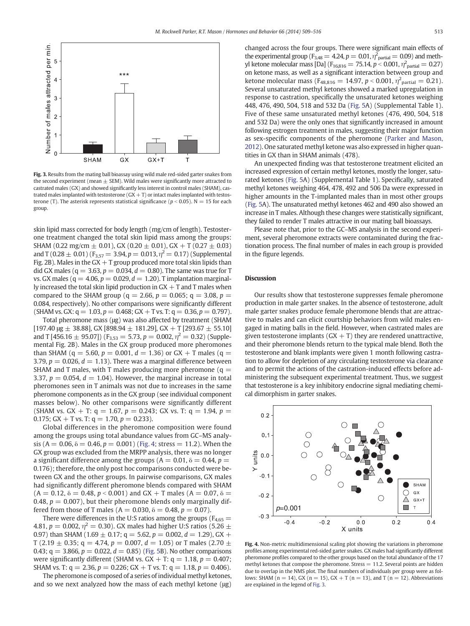<span id="page-4-0"></span>

Fig. 3. Results from the mating ball bioassay using wild male red-sided garter snakes from the second experiment (mean  $\pm$  SEM). Wild males were significantly more attracted to castrated males (GX) and showed significantly less interest in control males (SHAM), castrated males implanted with testosterone  $(GX + T)$  or intact males implanted with testosterone (T). The asterisk represents statistical significance ( $p < 0.05$ ). N = 15 for each group.

skin lipid mass corrected for body length (mg/cm of length). Testosterone treatment changed the total skin lipid mass among the groups: SHAM (0.22 mg/cm  $\pm$  0.01), GX (0.20  $\pm$  0.01), GX + T (0.27  $\pm$  0.03) and T (0.28  $\pm$  0.01) (F<sub>3.57</sub> = 3.94, p = 0.013,  $\eta^2$  = 0.17) (Supplemental Fig. 2B). Males in the  $GX + T$  group produced more total skin lipids than did GX males ( $q = 3.63$ ,  $p = 0.034$ ,  $d = 0.80$ ). The same was true for T vs. GX males ( $q = 4.06$ ,  $p = 0.029$ ,  $d = 1.20$ ). T implantation marginally increased the total skin lipid production in  $GX + T$  and  $T$  males when compared to the SHAM group (q = 2.66,  $p = 0.065$ ; q = 3.08,  $p =$ 0.084, respectively). No other comparisons were significantly different (SHAM vs. GX:  $q = 1.03$ ,  $p = 0.468$ ; GX + T vs. T:  $q = 0.36$ ,  $p = 0.797$ ).

Total pheromone mass (μg) was also affected by treatment (SHAM  $[197.40 \mu g \pm 38.88]$ , GX  $[898.94 \pm 181.29]$ , GX + T  $[293.67 \pm 55.10]$ and T [456.16  $\pm$  95.07]) (F<sub>3,53</sub> = 5.73, p = 0.002,  $\eta$ <sup>2</sup> = 0.32) (Supplemental Fig. 2B). Males in the GX group produced more pheromones than SHAM (q = 5.60,  $p = 0.001$ ,  $d = 1.36$ ) or GX + T males (q = 3.79,  $p = 0.026$ ,  $d = 1.13$ ). There was a marginal difference between SHAM and T males, with T males producing more pheromone ( $q =$ 3.37,  $p = 0.054$ ,  $d = 1.04$ ). However, the marginal increase in total pheromones seen in T animals was not due to increases in the same pheromone components as in the GX group (see individual component masses below). No other comparisons were significantly different (SHAM vs.  $GX + T: q = 1.67$ ,  $p = 0.243$ ;  $GX$  vs. T:  $q = 1.94$ ,  $p =$ 0.175; GX + T vs. T:  $q = 1.70$ ,  $p = 0.233$ ).

Global differences in the pheromone composition were found among the groups using total abundance values from GC–MS analysis (A = 0.06,  $\delta$  = 0.46, p = 0.001) (Fig. 4; stress = 11.2). When the GX group was excluded from the MRPP analysis, there was no longer a significant difference among the groups ( $A = 0.01$ ,  $\delta = 0.44$ ,  $p =$ 0.176); therefore, the only post hoc comparisons conducted were between GX and the other groups. In pairwise comparisons, GX males had significantly different pheromone blends compared with SHAM  $(A = 0.12, \delta = 0.48, p < 0.001)$  and  $GX + T$  males  $(A = 0.07, \delta = 0.07)$ 0.48,  $p = 0.007$ ), but their pheromone blends only marginally differed from those of T males ( $A = 0.030$ ,  $\delta = 0.48$ ,  $p = 0.07$ ).

There were differences in the U:S ratios among the groups ( $F_{4,65}$  = 4.81,  $p = 0.002$ ,  $\eta^2 = 0.30$ ). GX males had higher U:S ratios (5.26  $\pm$ 0.97) than SHAM (1.69  $\pm$  0.17; q = 5.62, p = 0.002, d = 1.29), GX + T (2.19  $\pm$  0.35; q = 4.74, p = 0.007, d = 1.05) or T males (2.70  $\pm$ 0.43;  $q = 3.866$ ,  $p = 0.022$ ,  $d = 0.85$ ) [\(Fig. 5](#page-5-0)B). No other comparisons were significantly different (SHAM vs.  $GX + T: q = 1.18$ ,  $p = 0.407$ ; SHAM vs. T:  $q = 2.36$ ,  $p = 0.226$ ;  $GX + T$  vs. T:  $q = 1.18$ ,  $p = 0.406$ ).

The pheromone is composed of a series of individual methyl ketones, and so we next analyzed how the mass of each methyl ketone (μg) changed across the four groups. There were significant main effects of the experimental group (F<sub>3,48</sub> = 4.24,  $p = 0.01$ ,  $\eta^2$ <sub>partial</sub> = 0.09) and methyl ketone molecular mass [Da] (F $_{16,816}=75.14$ ,  $p$  < 0.001,  $\eta^{2}{}_{\mathrm{partial}}=0.27)$ on ketone mass, as well as a significant interaction between group and ketone molecular mass (F<sub>48,816</sub> = 14.97, p < 0.001,  $\eta^2$ <sub>partial</sub> = 0.21). Several unsaturated methyl ketones showed a marked upregulation in response to castration, specifically the unsaturated ketones weighing 448, 476, 490, 504, 518 and 532 Da [\(Fig. 5](#page-5-0)A) (Supplemental Table 1). Five of these same unsaturated methyl ketones (476, 490, 504, 518 and 532 Da) were the only ones that significantly increased in amount following estrogen treatment in males, suggesting their major function as sex-specific components of the pheromone [\(Parker and Mason,](#page-7-0) [2012](#page-7-0)). One saturated methyl ketone was also expressed in higher quantities in GX than in SHAM animals (478).

An unexpected finding was that testosterone treatment elicited an increased expression of certain methyl ketones, mostly the longer, saturated ketones [\(Fig. 5](#page-5-0)A) (Supplemental Table 1). Specifically, saturated methyl ketones weighing 464, 478, 492 and 506 Da were expressed in higher amounts in the T-implanted males than in most other groups [\(Fig. 5](#page-5-0)A). The unsaturated methyl ketones 462 and 490 also showed an increase in T males. Although these changes were statistically significant, they failed to render T males attractive in our mating ball bioassays.

Please note that, prior to the GC–MS analysis in the second experiment, several pheromone extracts were contaminated during the fractionation process. The final number of males in each group is provided in the figure legends.

#### **Discussion**

Our results show that testosterone suppresses female pheromone production in male garter snakes. In the absence of testosterone, adult male garter snakes produce female pheromone blends that are attractive to males and can elicit courtship behaviors from wild males engaged in mating balls in the field. However, when castrated males are given testosterone implants  $(GX + T)$  they are rendered unattractive, and their pheromone blends return to the typical male blend. Both the testosterone and blank implants were given 1 month following castration to allow for depletion of any circulating testosterone via clearance and to permit the actions of the castration-induced effects before administering the subsequent experimental treatment. Thus, we suggest that testosterone is a key inhibitory endocrine signal mediating chemical dimorphism in garter snakes.



Fig. 4. Non-metric multidimensional scaling plot showing the variations in pheromone profiles among experimental red-sided garter snakes. GX males had significantly different pheromone profiles compared to the other groups based on the total abundance of the 17 methyl ketones that compose the pheromone. Stress  $= 11.2$ . Several points are hidden due to overlap in the NMS plot. The final numbers of individuals per group were as follows: SHAM ( $n = 14$ ), GX ( $n = 15$ ), GX + T ( $n = 13$ ), and T ( $n = 12$ ). Abbreviations are explained in the legend of Fig. 3.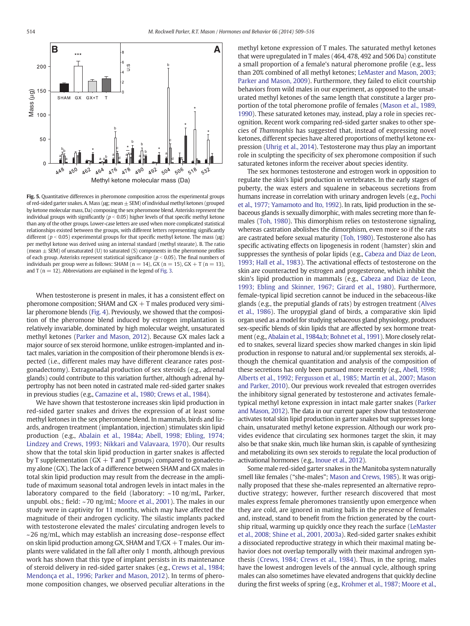<span id="page-5-0"></span>

Fig. 5. Quantitative differences in pheromone composition across the experimental groups of red-sided garter snakes. A. Mass (μg; mean ± SEM) of individual methyl ketones (grouped by ketone molecular mass, Da) composing the sex pheromone blend. Asterisks represent the individual groups with significantly ( $p < 0.05$ ) higher levels of that specific methyl ketone than any of the other groups. Lower-case letters are used when more complicated statistical relationships existed between the groups, with different letters representing significantly different ( $p < 0.05$ ) experimental groups for that specific methyl ketone. The mass (μg) per methyl ketone was derived using an internal standard (methyl stearate). B. The ratio (mean  $\pm$  SEM) of unsaturated (U) to saturated (S) components in the pheromone profiles of each group. Asterisks represent statistical significance ( $p < 0.05$ ). The final numbers of individuals per group were as follows: SHAM ( $n = 14$ ), GX ( $n = 15$ ), GX + T ( $n = 13$ ), and T ( $n = 12$ ). Abbreviations are explained in the legend of [Fig. 3.](#page-4-0)

When testosterone is present in males, it has a consistent effect on pheromone composition; SHAM and  $GX + T$  males produced very similar pheromone blends [\(Fig. 4](#page-4-0)). Previously, we showed that the composition of the pheromone blend induced by estrogen implantation is relatively invariable, dominated by high molecular weight, unsaturated methyl ketones ([Parker and Mason, 2012](#page-7-0)). Because GX males lack a major source of sex steroid hormone, unlike estrogen-implanted and intact males, variation in the composition of their pheromone blends is expected (i.e., different males may have different clearance rates postgonadectomy). Extragonadal production of sex steroids (e.g., adrenal glands) could contribute to this variation further, although adrenal hypertrophy has not been noted in castrated male red-sided garter snakes in previous studies (e.g., [Camazine et al., 1980; Crews et al., 1984](#page-6-0)).

We have shown that testosterone increases skin lipid production in red-sided garter snakes and drives the expression of at least some methyl ketones in the sex pheromone blend. In mammals, birds and lizards, androgen treatment (implantation, injection) stimulates skin lipid production (e.g., [Abalain et al., 1984a; Abell, 1998; Ebling, 1974;](#page-6-0) [Lindzey and Crews, 1993; Nikkari and Valavaara, 1970](#page-6-0)). Our results show that the total skin lipid production in garter snakes is affected by T supplementation ( $GX + T$  and T groups) compared to gonadectomy alone (GX). The lack of a difference between SHAM and GX males in total skin lipid production may result from the decrease in the amplitude of maximum seasonal total androgen levels in intact males in the laboratory compared to the field (laboratory: ~10 ng/mL, Parker, unpubl. obs.; field: ~70 ng/mL; [Moore et al., 2001\)](#page-7-0). The males in our study were in captivity for 11 months, which may have affected the magnitude of their androgen cyclicity. The silastic implants packed with testosterone elevated the males' circulating androgen levels to ~26 ng/mL, which may establish an increasing dose–response effect on skin lipid production among GX, SHAM and  $T/GX + T$  males. Our implants were validated in the fall after only 1 month, although previous work has shown that this type of implant persists in its maintenance of steroid delivery in red-sided garter snakes (e.g., [Crews et al., 1984;](#page-6-0) [Mendonça et al., 1996; Parker and Mason, 2012](#page-6-0)). In terms of pheromone composition changes, we observed peculiar alterations in the methyl ketone expression of T males. The saturated methyl ketones that were upregulated in T males (464, 478, 492 and 506 Da) constitute a small proportion of a female's natural pheromone profile (e.g., less than 20% combined of all methyl ketones; [LeMaster and Mason, 2003;](#page-7-0) [Parker and Mason, 2009\)](#page-7-0). Furthermore, they failed to elicit courtship behaviors from wild males in our experiment, as opposed to the unsaturated methyl ketones of the same length that constitute a larger proportion of the total pheromone profile of females [\(Mason et al., 1989,](#page-7-0) [1990\)](#page-7-0). These saturated ketones may, instead, play a role in species recognition. Recent work comparing red-sided garter snakes to other species of Thamnophis has suggested that, instead of expressing novel ketones, different species have altered proportions of methyl ketone expression [\(Uhrig et al., 2014](#page-7-0)). Testosterone may thus play an important role in sculpting the specificity of sex pheromone composition if such saturated ketones inform the receiver about species identity.

The sex hormones testosterone and estrogen work in opposition to regulate the skin's lipid production in vertebrates. In the early stages of puberty, the wax esters and squalene in sebaceous secretions from humans increase in correlation with urinary androgen levels (e.g., [Pochi](#page-7-0) [et al., 1977; Yamamoto and Ito, 1992\)](#page-7-0). In rats, lipid production in the sebaceous glands is sexually dimorphic, with males secreting more than females ([Toh, 1980](#page-7-0)). This dimorphism relies on testosterone signaling, whereas castration abolishes the dimorphism, even more so if the rats are castrated before sexual maturity [\(Toh, 1980\)](#page-7-0). Testosterone also has specific activating effects on lipogenesis in rodent (hamster) skin and suppresses the synthesis of polar lipids (e.g., [Cabeza and Diaz de Leon,](#page-6-0) [1993; Hall et al., 1983\)](#page-6-0). The activational effects of testosterone on the skin are counteracted by estrogen and progesterone, which inhibit the skin's lipid production in mammals (e.g., [Cabeza and Diaz de Leon,](#page-6-0) [1993; Ebling and Skinner, 1967; Girard et al., 1980](#page-6-0)). Furthermore, female-typical lipid secretion cannot be induced in the sebaceous-like glands (e.g., the preputial glands of rats) by estrogen treatment ([Alves](#page-6-0) [et al., 1986](#page-6-0)). The uropygial gland of birds, a comparative skin lipid organ used as a model for studying sebaceous gland physiology, produces sex-specific blends of skin lipids that are affected by sex hormone treatment (e.g., [Abalain et al., 1984a,b; Bohnet et al., 1991\)](#page-6-0). More closely related to snakes, several lizard species show marked changes in skin lipid production in response to natural and/or supplemental sex steroids, although the chemical quantitation and analysis of the composition of these secretions has only been pursued more recently (e.g., [Abell, 1998;](#page-6-0) [Alberts et al., 1992; Fergusson et al., 1985; Martín et al., 2007; Mason](#page-6-0) [and Parker, 2010\)](#page-6-0). Our previous work revealed that estrogen overrides the inhibitory signal generated by testosterone and activates femaletypical methyl ketone expression in intact male garter snakes [\(Parker](#page-7-0) [and Mason, 2012](#page-7-0)). The data in our current paper show that testosterone activates total skin lipid production in garter snakes but suppresses longchain, unsaturated methyl ketone expression. Although our work provides evidence that circulating sex hormones target the skin, it may also be that snake skin, much like human skin, is capable of synthesizing and metabolizing its own sex steroids to regulate the local production of activational hormones (e.g., [Inoue et al., 2012](#page-7-0)).

Some male red-sided garter snakes in the Manitoba system naturally smell like females ("she-males"; [Mason and Crews, 1985\)](#page-7-0). It was originally proposed that these she-males represented an alternative reproductive strategy; however, further research discovered that most males express female pheromones transiently upon emergence when they are cold, are ignored in mating balls in the presence of females and, instead, stand to benefit from the friction generated by the courtship ritual, warming up quickly once they reach the surface [\(LeMaster](#page-7-0) [et al., 2008; Shine et al., 2001, 2003a\)](#page-7-0). Red-sided garter snakes exhibit a dissociated reproductive strategy in which their maximal mating behavior does not overlap temporally with their maximal androgen synthesis ([Crews, 1984; Crews et al., 1984\)](#page-6-0). Thus, in the spring, males have the lowest androgen levels of the annual cycle, although spring males can also sometimes have elevated androgens that quickly decline during the first weeks of spring (e.g., [Krohmer et al., 1987; Moore et al.,](#page-7-0)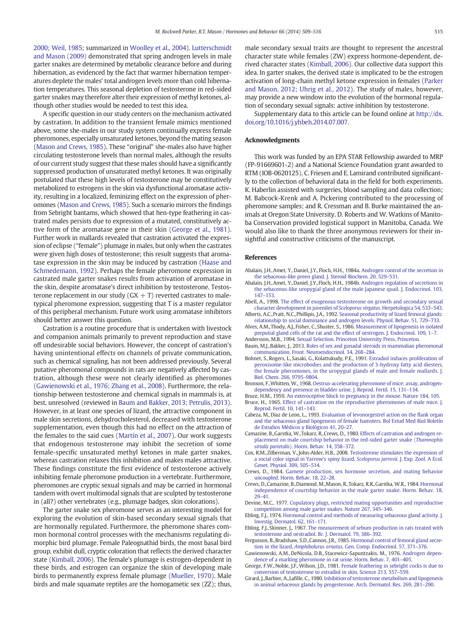<span id="page-6-0"></span>[2000; Weil, 1985](#page-7-0); summarized in [Woolley et al., 2004\)](#page-7-0). [Lutterschmidt](#page-7-0) [and Mason \(2009\)](#page-7-0) demonstrated that spring androgen levels in male garter snakes are determined by metabolic clearance before and during hibernation, as evidenced by the fact that warmer hibernation temperatures deplete the males' total androgen levels more than cold hibernation temperatures. This seasonal depletion of testosterone in red-sided garter snakes may therefore alter their expression of methyl ketones, although other studies would be needed to test this idea.

A specific question in our study centers on the mechanism activated by castration. In addition to the transient female mimics mentioned above, some she-males in our study system continually express female pheromones, especially unsaturated ketones, beyond the mating season [\(Mason and Crews, 1985](#page-7-0)). These "original" she-males also have higher circulating testosterone levels than normal males, although the results of our current study suggest that these males should have a significantly suppressed production of unsaturated methyl ketones. It was originally postulated that these high levels of testosterone may be constitutively metabolized to estrogens in the skin via dysfunctional aromatase activity, resulting in a localized, feminizing effect on the expression of pheromones [\(Mason and Crews, 1985\)](#page-7-0). Such a scenario mirrors the findings from Sebright bantams, which showed that hen-type feathering in castrated males persists due to expression of a mutated, constitutively active form of the aromatase gene in their skin (George et al., 1981). Further work in mallards revealed that castration activated the expression of eclipse ("female") plumage in males, but only when the castrates were given high doses of testosterone; this result suggests that aromatase expression in the skin may be induced by castration ([Haase and](#page-7-0) [Schmedemann, 1992](#page-7-0)). Perhaps the female pheromone expression in castrated male garter snakes results from activation of aromatase in the skin, despite aromatase's direct inhibition by testosterone. Testosterone replacement in our study  $(GX + T)$  reverted castrates to maletypical pheromone expression, suggesting that T is a master regulator of this peripheral mechanism. Future work using aromatase inhibitors should better answer this question.

Castration is a routine procedure that is undertaken with livestock and companion animals primarily to prevent reproduction and stave off undesirable social behaviors. However, the concept of castration's having unintentional effects on channels of private communication, such as chemical signaling, has not been addressed previously. Several putative pheromonal compounds in rats are negatively affected by castration, although these were not clearly identified as pheromones (Gawienowski et al., 1976; Zhang et al., 2008). Furthermore, the relationship between testosterone and chemical signals in mammals is, at best, unresolved (reviewed in Baum and Bakker, 2013; Petrulis, 2013). However, in at least one species of lizard, the attractive component in male skin secretions, dehydrocholesterol, decreased with testosterone supplementation, even though this had no effect on the attraction of the females to the said cues [\(Martín et al., 2007\)](#page-7-0). Our work suggests that endogenous testosterone may inhibit the secretion of some female-specific unsaturated methyl ketones in male garter snakes, whereas castration relaxes this inhibition and makes males attractive. These findings constitute the first evidence of testosterone actively inhibiting female pheromone production in a vertebrate. Furthermore, pheromones are cryptic sexual signals and may be carried in hormonal tandem with overt multimodal signals that are sculpted by testosterone in (all?) other vertebrates (e.g., plumage badges, skin colorations).

The garter snake sex pheromone serves as an interesting model for exploring the evolution of skin-based secondary sexual signals that are hormonally regulated. Furthermore, the pheromone shares common hormonal control processes with the mechanisms regulating dimorphic bird plumage. Female Paleognathid birds, the most basal bird group, exhibit dull, cryptic coloration that reflects the derived character state ([Kimball, 2006](#page-7-0)). The female's plumage is estrogen-dependent in these birds, and estrogen can organize the skin of developing male birds to permanently express female plumage ([Mueller, 1970\)](#page-7-0). Male birds and male squamate reptiles are the homogametic sex (ZZ); thus, male secondary sexual traits are thought to represent the ancestral character state while females (ZW) express hormone-dependent, derived character states ([Kimball, 2006\)](#page-7-0). Our collective data support this idea. In garter snakes, the derived state is implicated to be the estrogen activation of long-chain methyl ketone expression in females [\(Parker](#page-7-0) [and Mason, 2012; Uhrig et al., 2012](#page-7-0)). The study of males, however, may provide a new window into the evolution of the hormonal regulation of secondary sexual signals: active inhibition by testosterone.

Supplementary data to this article can be found online at [http://dx.](http://dx.doi.org/10.1016/j.yhbeh.2014.07.007) [doi.org/10.1016/j.yhbeh.2014.07.007.](http://dx.doi.org/10.1016/j.yhbeh.2014.07.007)

#### Acknowledgments

This work was funded by an EPA STAR Fellowship awarded to MRP (FP-91669601-2) and a National Science Foundation grant awarded to RTM (IOB-0620125). C. Friesen and E. Lamirand contributed significantly to the collection of behavioral data in the field for both experiments. K. Haberlin assisted with surgeries, blood sampling and data collection; M. Babcock-Krenk and A. Pickering contributed to the processing of pheromone samples; and R. Cressman and B. Burke maintained the animals at Oregon State University. D. Roberts and W. Watkins of Manitoba Conservation provided logistical support in Manitoba, Canada. We would also like to thank the three anonymous reviewers for their insightful and constructive criticisms of the manuscript.

#### References

- Abalain, J.H.,Amet, Y., Daniel, J.Y., Floch, H.H., 1984a. [Androgen control of the secretion in](http://refhub.elsevier.com/S0018-506X(14)00142-1/rf0005) [the sebaceous-like preen gland. J. Steroid Biochem. 20, 529](http://refhub.elsevier.com/S0018-506X(14)00142-1/rf0005)–531.
- Abalain, J.H.,Amet, Y.,Daniel, J.Y.,Floch, H.H., 1984b. [Androgen regulation of secretions in](http://refhub.elsevier.com/S0018-506X(14)00142-1/rf0010) [the sebaceous-like uropygial gland of the male Japanese quail. J. Endocrinol. 103,](http://refhub.elsevier.com/S0018-506X(14)00142-1/rf0010) [147](http://refhub.elsevier.com/S0018-506X(14)00142-1/rf0010)–153.
- Abell, A., 1998. [The effect of exogenous testosterone on growth and secondary sexual](http://refhub.elsevier.com/S0018-506X(14)00142-1/rf0015) [character development in juveniles of](http://refhub.elsevier.com/S0018-506X(14)00142-1/rf0015) Sceloporus virgatus. Herpetologica 54, 533–543.
- Alberts, A.C.,Pratt, N.C.,Phillipis, J.A., 1992. [Seasonal productivity of lizard femoral glands:](http://refhub.elsevier.com/S0018-506X(14)00142-1/rf0020) [relationship to social dominance and androgen levels. Physiol. Behav. 51, 729](http://refhub.elsevier.com/S0018-506X(14)00142-1/rf0020)–733.
- Alves, A.M.,Thody, A.J.,Fisher, C.,Shuster, S., 1986. [Measurement of lipogenesis in isolated](http://refhub.elsevier.com/S0018-506X(14)00142-1/rf0025) [preputial gland cells of the rat and the effect of oestrogen. J. Endocrinol. 109, 1](http://refhub.elsevier.com/S0018-506X(14)00142-1/rf0025)–7.
- Andersson, M.B., 1994. [Sexual Selection. Princeton University Press, Princeton.](http://refhub.elsevier.com/S0018-506X(14)00142-1/rf0030) Baum, M.J.,Bakker, J., 2013. [Roles of sex and gonadal steroids in mammalian pheromonal](http://refhub.elsevier.com/S0018-506X(14)00142-1/rf0035)
- [communication. Front. Neuroendocrinol. 34, 268](http://refhub.elsevier.com/S0018-506X(14)00142-1/rf0035)–284. Bohnet, S., Rogers, L., Sasaki, G., Kolattukudy, P.E., 1991. [Estradiol induces proliferation of](http://refhub.elsevier.com/S0018-506X(14)00142-1/rf0040) [peroxisome-like microbodies and the production of 3-hydroxy fatty acid diesters,](http://refhub.elsevier.com/S0018-506X(14)00142-1/rf0040) [the female pheromones, in the uropygial glands of male and female mallards. J.](http://refhub.elsevier.com/S0018-506X(14)00142-1/rf0040) [Biol. Chem. 266, 9795](http://refhub.elsevier.com/S0018-506X(14)00142-1/rf0040)–9804.
- Bronson, F.,Whitten, W., 1968. [Oestrus-accelerating pheromone of mice: assay, androgen](http://refhub.elsevier.com/S0018-506X(14)00142-1/rf0045)[dependency and presence in bladder urine. J. Reprod. Fertil. 15, 131](http://refhub.elsevier.com/S0018-506X(14)00142-1/rf0045)–134.
- Bruce, H.M., 1959. [An exteroceptive block to pregnancy in the mouse. Nature 184, 105.](http://refhub.elsevier.com/S0018-506X(14)00142-1/rf0055) Bruce, H., 1965. [Effect of castration on the reproductive pheromones of male mice. J.](http://refhub.elsevier.com/S0018-506X(14)00142-1/rf0050) [Reprod. Fertil. 10, 141](http://refhub.elsevier.com/S0018-506X(14)00142-1/rf0050)–143.
- Cabeza, M., Diaz de Leon, L., 1993. [Evaluation of levonorgestrel action on the](http://refhub.elsevier.com/S0018-506X(14)00142-1/rf0060) flank organ [and the sebaceous gland lipogenesis of female hamsters. Bol Estud Med Biol Boletín](http://refhub.elsevier.com/S0018-506X(14)00142-1/rf0060) [de Estudios Médicos y Biológicos 41, 20](http://refhub.elsevier.com/S0018-506X(14)00142-1/rf0060)–27.
- Camazine, B.,Garstka, W.,Tokarz, R.,Crews, D., 1980. [Effects of castration and androgen re](http://refhub.elsevier.com/S0018-506X(14)00142-1/rf0065)[placement on male courtship behavior in the red-sided garter snake \(](http://refhub.elsevier.com/S0018-506X(14)00142-1/rf0065)Thamnophis sirtalis parietalis[\). Horm. Behav. 14, 358](http://refhub.elsevier.com/S0018-506X(14)00142-1/rf0065)–372.
- Cox, R.M.,Zilberman, V., John-Alder, H.B., 2008. [Testosterone stimulates the expression of](http://refhub.elsevier.com/S0018-506X(14)00142-1/rf0070) [a social color signal in Yarrow's spiny lizard,](http://refhub.elsevier.com/S0018-506X(14)00142-1/rf0070) Sceloporus jarrovii. J. Exp. Zool. A Ecol. [Genet. Physiol. 309, 505](http://refhub.elsevier.com/S0018-506X(14)00142-1/rf0070)–514.
- Crews, D., 1984. [Gamete production, sex hormone secretion, and mating behavior](http://refhub.elsevier.com/S0018-506X(14)00142-1/rf0075) [uncoupled. Horm. Behav. 18, 22](http://refhub.elsevier.com/S0018-506X(14)00142-1/rf0075)–28.
- Crews, D.,Camazine, B.,Diamond, M.,Mason, R.,Tokarz, R.R.,Garstka, W.R., 1984. [Hormonal](http://refhub.elsevier.com/S0018-506X(14)00142-1/rf0080) [independence of courtship behavior in the male garter snake. Horm. Behav. 18,](http://refhub.elsevier.com/S0018-506X(14)00142-1/rf0080)  $29 - 41$  $29 - 41$ .
- Devine, M.C., 1977. [Copulatory plugs, restricted mating opportunities and reproductive](http://refhub.elsevier.com/S0018-506X(14)00142-1/rf0085) [competition among male garter snakes. Nature 267, 345](http://refhub.elsevier.com/S0018-506X(14)00142-1/rf0085)–346.
- Ebling, F.J., 1974. [Hormonal control and methods of measuring sebaceous gland activity. J.](http://refhub.elsevier.com/S0018-506X(14)00142-1/rf0090) [Investig. Dermatol. 62, 161](http://refhub.elsevier.com/S0018-506X(14)00142-1/rf0090)–171.
- Ebling, F.J., Skinner, J., 1967. [The measurement of sebum production in rats treated with](http://refhub.elsevier.com/S0018-506X(14)00142-1/rf0095) [testosterone and oestradiol. Br. J. Dermatol. 79, 386](http://refhub.elsevier.com/S0018-506X(14)00142-1/rf0095)–392.
- Fergusson, B.,Bradshaw, S.D.,Cannon, J.R., 1985. [Hormonal control of femoral gland secre](http://refhub.elsevier.com/S0018-506X(14)00142-1/rf0100)tion in the lizard, Amphibolurus ornatus[. Gen. Comp. Endocrinol. 57, 371](http://refhub.elsevier.com/S0018-506X(14)00142-1/rf0100)–376.
- Gawienowski, A.M., DeNicola, D.B., Stacewicz-Sapuntzakis, M., 1976. [Androgen depen](http://refhub.elsevier.com/S0018-506X(14)00142-1/rf0105)[dence of a marking pheromone in rat urine. Horm. Behav. 7, 401](http://refhub.elsevier.com/S0018-506X(14)00142-1/rf0105)–405.
- George, F.W., Noble, J.F.,Wilson, J.D., 1981. [Female feathering in sebright cocks is due to](http://refhub.elsevier.com/S0018-506X(14)00142-1/rf0110) [conversion of testosterone to estradiol in skin. Science 213, 557](http://refhub.elsevier.com/S0018-506X(14)00142-1/rf0110)–559.
- Girard, J.,Barbier, A.,Lafille, C., 1980. [Inhibition of testosterone metabolism and lipogenesis](http://refhub.elsevier.com/S0018-506X(14)00142-1/rf0115) [in animal sebaceous glands by progesterone. Arch. Dermatol. Res. 269, 281](http://refhub.elsevier.com/S0018-506X(14)00142-1/rf0115)–290.